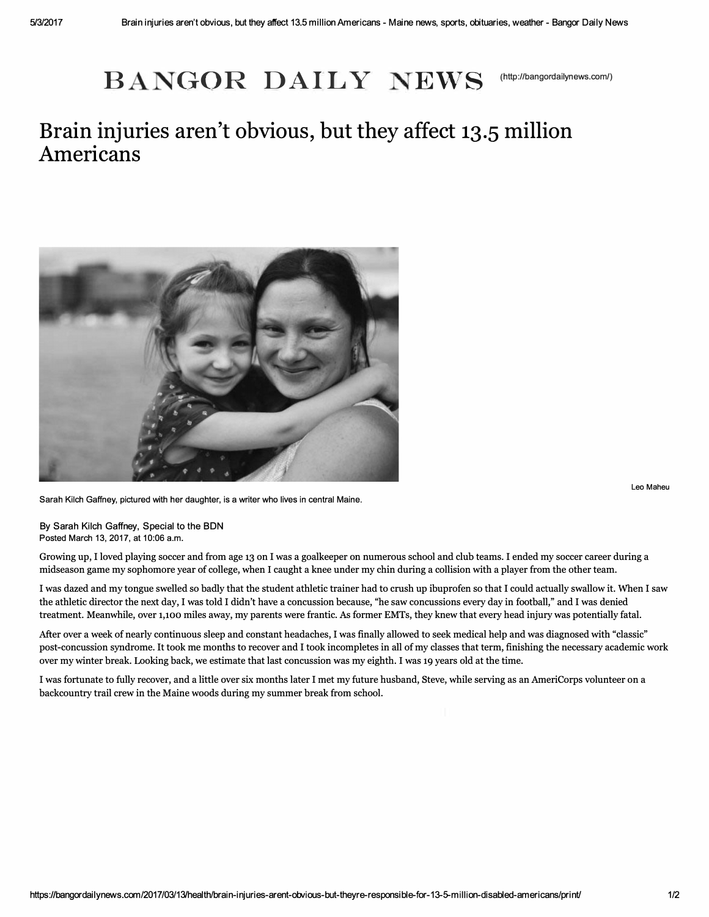## $\mathbf{BANGOR}$   $\mathbf{DAILY}$   $\mathbf{NEWS}$  (http://bangordailynews.com/)

## **Brain injuries aren't obvious, but they affect 13.5 million Americans**



**Leo Maheu** 

Sarah Kilch Gaffney, pictured with her daughter, is a writer who lives in central Maine.

By Sarah Kilch Gaffney, Special to the BON Posted March 13, 2017, at 10:06 a.m.

Growing up, **I** loved playing soccer and from age **13** on **I** was a goalkeeper on numerous school and club teams. **I** ended my soccer career during a midseason game my sophomore year of college, when I caught a knee under my chin during a collision with a player from the other team.

**I** was dazed and my tongue swelled so badly that the student athletic trainer had to crush up ibuprofen so that **I** could actually swallow it. When **I** saw the athletic director the next day, **I** was told **I** didn't have a concussion because, "he saw concussions every day in football," and **I** was denied treatment. Meanwhile, over 1,100 miles away, my parents were frantic. As former EMTs, they knew that every head injury was potentially fatal.

After over a week of nearly continuous sleep and constant headaches, **I** was finally allowed to seek medical help and was diagnosed with "classic" post-concussion syndrome. **It** took me months to recover and **I** took incompletes in all of my classes that term, finishing the necessary academic work over my winter break. Looking back, we estimate that last concussion was my eighth. I was 19 years old at the time.

**I** was fortunate to fully recover, and a little over six months later **I** met my future husband, Steve, while serving as an AmeriCorps volunteer on a backcountry trail crew in the Maine woods during my summer break from school.